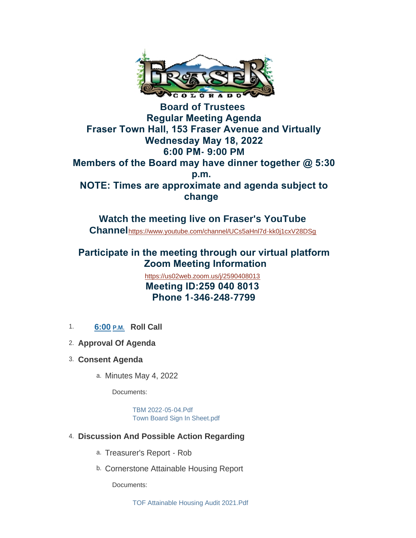

**Board of Trustees Regular Meeting Agenda Fraser Town Hall, 153 Fraser Avenue and Virtually Wednesday May 18, 2022 6:00 PM- 9:00 PM Members of the Board may have dinner together @ 5:30 p.m. NOTE: Times are approximate and agenda subject to change** 

**Watch the meeting live on Fraser's YouTube Channel**<https://www.youtube.com/channel/UCs5aHnl7d-kk0j1cxV28DSg>

## **Participate in the meeting through our virtual platform Zoom Meeting Information**

<https://us02web.zoom.us/j/2590408013>  **Meeting ID:259 040 8013 Phone 1-346-248-7799**

- 1. **6:00 P.M. Roll Call**
- **Approval Of Agenda** 2.
- **Consent Agenda** 3.
	- a. Minutes May 4, 2022

Documents:

[TBM 2022-05-04.Pdf](https://www.frasercolorado.com/AgendaCenter/ViewFile/Item/4145?fileID=3672) [Town Board Sign In Sheet.pdf](https://www.frasercolorado.com/AgendaCenter/ViewFile/Item/4145?fileID=3673)

- **Discussion And Possible Action Regarding** 4.
	- a. Treasurer's Report Rob
	- b. Cornerstone Attainable Housing Report

Documents: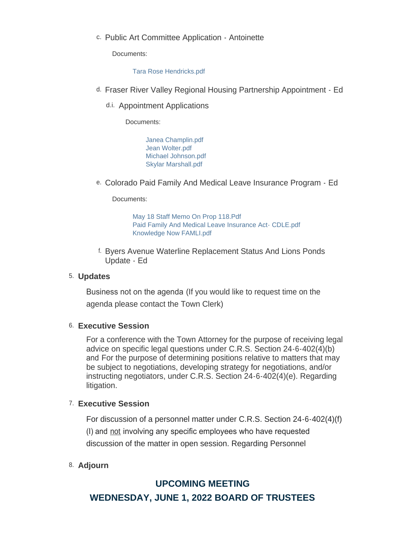c. Public Art Committee Application - Antoinette

Documents:

[Tara Rose Hendricks.pdf](https://www.frasercolorado.com/AgendaCenter/ViewFile/Item/4144?fileID=3671)

- d. Fraser River Valley Regional Housing Partnership Appointment Ed
	- d.i. Appointment Applications

Documents:

[Janea Champlin.pdf](https://www.frasercolorado.com/AgendaCenter/ViewFile/Item/4162?fileID=3680) [Jean Wolter.pdf](https://www.frasercolorado.com/AgendaCenter/ViewFile/Item/4162?fileID=3681) [Michael Johnson.pdf](https://www.frasercolorado.com/AgendaCenter/ViewFile/Item/4162?fileID=3682) [Skylar Marshall.pdf](https://www.frasercolorado.com/AgendaCenter/ViewFile/Item/4162?fileID=3679)

e. Colorado Paid Family And Medical Leave Insurance Program - Ed

Documents:

[May 18 Staff Memo On Prop 118.Pdf](https://www.frasercolorado.com/AgendaCenter/ViewFile/Item/4122?fileID=3674) [Paid Family And Medical Leave Insurance Act- CDLE.pdf](https://www.frasercolorado.com/AgendaCenter/ViewFile/Item/4122?fileID=3675) [Knowledge Now FAMLI.pdf](https://www.frasercolorado.com/AgendaCenter/ViewFile/Item/4122?fileID=3667)

f. Byers Avenue Waterline Replacement Status And Lions Ponds Update - Ed

#### **Updates** 5.

Business not on the agenda (If you would like to request time on the agenda please contact the Town Clerk)

#### **Executive Session**  6.

For a conference with the Town Attorney for the purpose of receiving legal advice on specific legal questions under C.R.S. Section 24-6-402(4)(b) and For the purpose of determining positions relative to matters that may be subject to negotiations, developing strategy for negotiations, and/or instructing negotiators, under C.R.S. Section 24-6-402(4)(e). Regarding litigation.

#### **Executive Session** 7.

For discussion of a personnel matter under C.R.S. Section 24-6-402(4)(f) (I) and not involving any specific employees who have requested discussion of the matter in open session. Regarding Personnel

### **Adjourn** 8.

# **UPCOMING MEETING WEDNESDAY, JUNE 1, 2022 BOARD OF TRUSTEES**